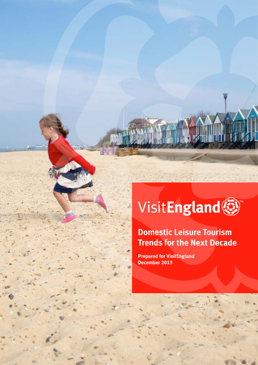# **VisitEngland®**

## **Domestic Leisure Tourism Trends for the Next Decade**

VisitEngland's Domestic Leisure Tourism Trends for the Next Decade **1**

**Prepared for VisitEngland December 2013**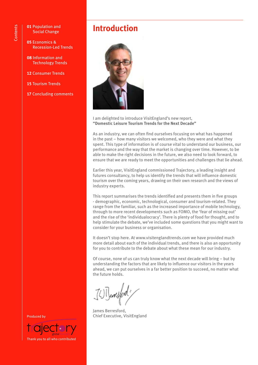- **01** Population and Social Change
- **05** Economics & Recession-Led Trends
- **08** Information and Technology Trends
- **12** Consumer Trends
- **15** Tourism Trends
- **17** Concluding comments

### **Introduction**



I am delighted to introduce VisitEngland's new report, **"Domestic Leisure Tourism Trends for the Next Decade"**

As an industry, we can often find ourselves focusing on what has happened in the past – how many visitors we welcomed, who they were and what they spent. This type of information is of course vital to understand our business, our performance and the way that the market is changing over time. However, to be able to make the right decisions in the future, we also need to look forward, to ensure that we are ready to meet the opportunities and challenges that lie ahead.

Earlier this year, VisitEngland commissioned Trajectory, a leading insight and futures consultancy, to help us identify the trends that will influence domestic tourism over the coming years, drawing on their own research and the views of industry experts.

This report summarises the trends identified and presents them in five groups - demographic, economic, technological, consumer and tourism-related. They range from the familiar, such as the increased importance of mobile technology, through to more recent developments such as FOMO, the 'fear of missing out' and the rise of the 'individualocracy'. There is plenty of food for thought, and to help stimulate the debate, we've included some questions that you might want to consider for your business or organisation.

It doesn't stop here. At www.visitenglandtrends.com we have provided much more detail about each of the individual trends, and there is also an opportunity for you to contribute to the debate about what these mean for our industry.

Of course, none of us can truly know what the next decade will bring – but by understanding the factors that are likely to influence our visitors in the years ahead, we can put ourselves in a far better position to succeed, no matter what the future holds.

James Berresford, Chief Executive, VisitEngland

Produced by

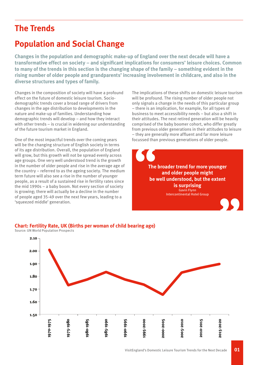### **The Trends**

### **Population and Social Change**

**Changes in the population and demographic make-up of England over the next decade will have a transformative effect on society – and significant implications for consumers' leisure choices. Common to many of the trends in this section is the changing shape of the family – something evident in the rising number of older people and grandparents' increasing involvement in childcare, and also in the diverse structures and types of family.**

Changes in the composition of society will have a profound effect on the future of domestic leisure tourism. Sociodemographic trends cover a broad range of drivers from changes in the age distribution to developments in the nature and make-up of families. Understanding how demographic trends will develop – and how they interact with other trends – is crucial in widening our understanding of the future tourism market in England.

One of the most impactful trends over the coming years will be the changing structure of English society in terms of its age distribution. Overall, the population of England will grow, but this growth will not be spread evenly across age groups. One very well understood trend is the growth in the number of older people and rise in the average age of the country – referred to as the ageing society. The medium term future will also see a rise in the number of younger people, as a result of a sustained rise in fertility rates since the mid 1990s – a baby boom. Not every section of society is growing; there will actually be a decline in the number of people aged 35-49 over the next few years, leading to a 'squeezed middle' generation.

The implications of these shifts on domestic leisure tourism will be profound. The rising number of older people not only signals a change in the needs of this particular group – there is an implication, for example, for all types of business to meet accessibility needs – but also a shift in their attitudes. The next retired generation will be heavily comprised of the baby boomer cohort, who differ greatly from previous older generations in their attitudes to leisure – they are generally more affluent and far more leisure focussed than previous generations of older people.



#### **Chart: Fertility Rate, UK (Births per woman of child bearing age)**

Source: UN World Population Prospects

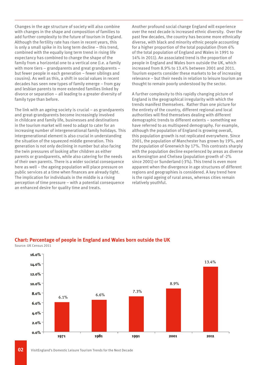Changes in the age structure of society will also combine with changes in the shape and composition of families to add further complexity to the future of tourism in England. Although the fertility rate has risen in recent years, this is only a small spike in its long term decline – this trend, combined with the equally long term trend in rising life expectancy has combined to change the shape of the family from a horizontal one to a vertical one (i.e. a family with more tiers – grandparents and great grandparents – but fewer people in each generation – fewer siblings and cousins). As well as this, a shift in social values in recent decades has seen new types of family emerge – from gay and lesbian parents to more extended families linked by divorce or separation – all leading to a greater diversity of family type than before.

The link with an ageing society is crucial – as grandparents and great-grandparents become increasingly involved in childcare and family life, businesses and destinations in the tourism market will need to adapt to cater for an increasing number of intergenerational family holidays. This intergenerational element is also crucial in understanding the situation of the squeezed middle generation. This generation is not only declining in number but also facing the twin pressures of looking after children as either parents or grandparents, while also catering for the needs of their own parents. There is a wider societal consequence here as well – the ageing population will place pressure on public services at a time when finances are already tight. The implication for individuals in the middle is a rising perception of time pressure – with a potential consequence an enhanced desire for quality time and treats.

Another profound social change England will experience over the next decade is increased ethnic diversity. Over the past few decades, the country has become more ethnically diverse, with black and minority ethnic people accounting for a higher proportion of the total population (from 6% of the total population of England and Wales in 1991 to 14% in 2011). An associated trend is the proportion of people in England and Wales born outside the UK, which increased from 8.9% to 13.4% between 2001 and 2011. Tourism experts consider these markets to be of increasing relevance – but their needs in relation to leisure tourism are thought to remain poorly understood by the sector.

A further complexity to this rapidly changing picture of England is the geographical irregularity with which the trends manifest themselves. Rather than one picture for the entirety of the country, different regional and local authorities will find themselves dealing with different demographic trends to different extents – something we have referred to as multispeed demography. For example, although the population of England is growing overall, this population growth is not replicated everywhere. Since 2001, the population of Manchester has grown by 19%, and the population of Greenwich by 17%. This contrasts sharply with the population decline experienced by areas as diverse as Kensington and Chelsea (population growth of -2% since 2001) or Sunderland (-3%). This trend is even more apparent when the divergence in age structures of different regions and geographies is considered. A key trend here is the rapid ageing of rural areas, whereas cities remain relatively youthful.



#### **Chart: Percentage of people in England and Wales born outside the UK**

Source: UK Census 2011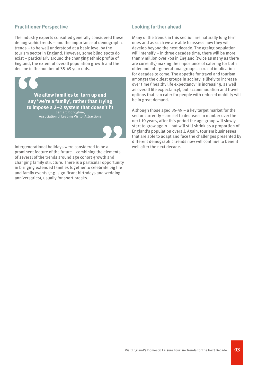#### **Practitioner Perspective**

The industry experts consulted generally considered these demographic trends – and the importance of demographic trends – to be well understood at a basic level by the tourism sector in England. However, some blind spots do exist – particularly around the changing ethnic profile of England, the extent of overall population growth and the decline in the number of 35-49 year olds.

> **We allow families to turn up and say 'we're a family', rather than trying to impose a 2+2 system that doesn't fit** Bernard Donoghue,

Association of Leading Visitor Attractions

Intergenerational holidays were considered to be a prominent feature of the future – combining the elements of several of the trends around age cohort growth and changing family structure. There is a particular opportunity in bringing extended families together to celebrate big life and family events (e.g. significant birthdays and wedding anniversaries), usually for short breaks.

#### **Looking further ahead**

Many of the trends in this section are naturally long term ones and as such we are able to assess how they will develop beyond the next decade. The ageing population will intensify – in three decades time, there will be more than 9 million over 75s in England (twice as many as there are currently) making the importance of catering for both older and intergenerational groups a crucial implication for decades to come. The appetite for travel and tourism amongst the oldest groups in society is likely to increase over time ('healthy life expectancy' is increasing, as well as overall life expectancy), but accommodation and travel options that can cater for people with reduced mobility will be in great demand.

Although those aged 35-49 – a key target market for the sector currently – are set to decrease in number over the next 10 years, after this period the age group will slowly start to grow again – but will still shrink as a proportion of England's population overall. Again, tourism businesses that are able to adapt and face the challenges presented by different demographic trends now will continue to benefit well after the next decade.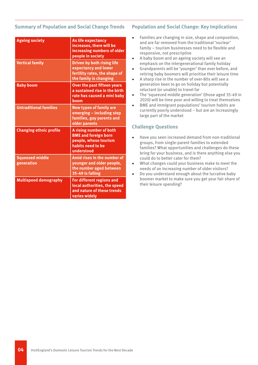#### **Summary of Population and Social Change Trends**

| <b>Ageing society</b>                | As life expectancy<br>increases, there will be<br>increasing numbers of older<br>people in society                   |
|--------------------------------------|----------------------------------------------------------------------------------------------------------------------|
| <b>Vertical family</b>               | <b>Driven by both rising life</b><br>expectancy and lower<br>fertility rates, the shape of<br>the family is changing |
| <b>Baby boom</b>                     | <b>Over the past fifteen years</b><br>a sustained rise in the birth<br>rate has caused a mini baby<br>boom           |
| <b>Untraditional families</b>        | <b>New types of family are</b><br>emerging - including step<br>families, gay parents and<br>older parents            |
| <b>Changing ethnic profile</b>       | A rising number of both<br><b>BME</b> and foreign born<br>people, whose tourism<br>habits need to be<br>understood   |
| <b>Squeezed middle</b><br>generation | Amid rises in the number of<br>younger and older people,<br>the number aged between<br>35-49 is falling              |
| <b>Multispeed demography</b>         | For different regions and<br>local authorities, the speed<br>and nature of these trends<br>varies widely             |

#### **Population and Social Change: Key Implications**

- Families are changing in size, shape and composition, and are far removed from the traditional 'nuclear' family – tourism businesses need to be flexible and responsive, not prescriptive
- A baby boom and an ageing society will see an emphasis on the intergenerational family holiday
- Grandparents will be 'younger' than ever before, and retiring baby boomers will prioritise their leisure time
- A sharp rise in the number of over-80s will see a generation keen to go on holiday but potentially reluctant (or unable) to travel far
- The 'squeezed middle generation' (those aged 35-49 in 2020) will be time poor and willing to treat themselves
- BME and immigrant populations' tourism habits are currently poorly understood – but are an increasingly large part of the market

- Have you seen increased demand from non-traditional groups, from single-parent families to extended families? What opportunities and challenges do these bring for your business, and is there anything else you could do to better cater for them?
- What changes could your business make to meet the needs of an increasing number of older visitors?
- Do you understand enough about the lucrative baby boomer market to make sure you get your fair share of their leisure spending?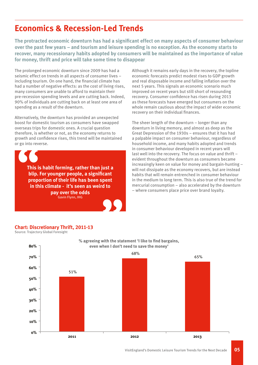### **Economics & Recession-Led Trends**

**The protracted economic downturn has had a significant effect on many aspects of consumer behaviour over the past few years – and tourism and leisure spending is no exception. As the economy starts to recover, many recessionary habits adopted by consumers will be maintained as the importance of value for money, thrift and price will take some time to disappear**

The prolonged economic downturn since 2009 has had a seismic effect on trends in all aspects of consumer lives – including tourism. On one hand, the financial climate has had a number of negative effects: as the cost of living rises, many consumers are unable to afford to maintain their pre-recession spending levels and are cutting back. Indeed, 90% of individuals are cutting back on at least one area of spending as a result of the downturn.

Alternatively, the downturn has provided an unexpected boost for domestic tourism as consumers have swapped overseas trips for domestic ones. A crucial question therefore, is whether or not, as the economy returns to growth and confidence rises, this trend will be maintained or go into reverse.



**This is habit forming, rather than just a blip. For younger people, a significant proportion of their life has been spent in this climate - it's seen as weird to pay over the odds** Gavin Flynn, IHG

Although it remains early days in the recovery, the topline economic forecasts predict modest rises to GDP growth and real disposable income and falling inflation over the next 5 years. This signals an economic scenario much improved on recent years but still short of resounding recovery. Consumer confidence has risen during 2013 as these forecasts have emerged but consumers on the whole remain cautious about the impact of wider economic recovery on their individual finances.

The sheer length of the downturn – longer than any downturn in living memory, and almost as deep as the Great Depression of the 1930s – ensures that it has had a palpable impact on consumer behaviour, regardless of household income, and many habits adopted and trends in consumer behaviour developed in recent years will last well into the recovery. The focus on value and thrift – evident throughout the downturn as consumers became increasingly keen on value for money and bargain-hunting – will not dissipate as the economy recovers, but are instead habits that will remain entrenched in consumer behaviour in the medium to long term. This is also true of the trend for mercurial consumption – also accelerated by the downturn – where consumers place price over brand loyalty.



Source: Trajectory Global Foresight

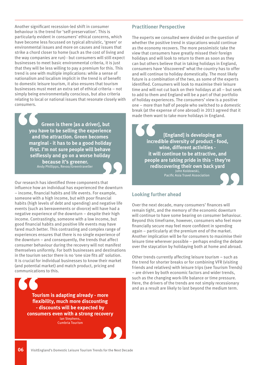Another significant recession-led shift in consumer behaviour is the trend for 'self-preservation'. This is particularly evident in consumers' ethical concerns, which have become less focussed on typical altruistic, 'green' or environmental issues and more on causes and issues that strike a chord closer to home (such as the cost of living and the way companies are run) - but consumers will still expect businesses to meet basic environmental criteria, it is just that they will be less willing to pay a premium for this. This trend is one with multiple implications: while a sense of nationalism and localism implicit in the trend is of benefit to domestic leisure tourism, it also ensures that tourism businesses must meet an extra set of ethical criteria – not simply being environmentally conscious, but also criteria relating to local or national issues that resonate closely with consumers.

**Green is there [as a driver], but you have to be selling the experience and the attraction. Green becomes marginal - it has to be a good holiday first. I'm not sure people will behave selflessly and go on a worse holiday because it's greener.**

Andy Phillipps, Revoo/Greentraveller

Our research has identified three components that influence how an individual has experienced the downturn – income, financial habits and life events. For example, someone with a high income, but with poor financial habits (high levels of debt and spending) and negative life events (such as bereavements or divorce) will have had a negative experience of the downturn – despite their high income. Contrastingly, someone with a low income, but good financial habits and positive life events may have fared much better. This contrasting and complex range of experiences ensures that there is no single experience of the downturn – and consequently, the trends that affect consumer behaviour during the recovery will not manifest themselves uniformly. For both businesses and destinations in the tourism sector there is no 'one size fits all' solution. It is crucial for individual businesses to know their market (and potential market) and match product, pricing and communications to this.

**Tourism is adapting already - more flexibility, much more discounting - discounts will be expected by consumers even with a strong recovery** Ian Stephens, Cumbria Tourism

#### **Practitioner Perspective**

The experts we consulted were divided on the question of whether the positive trend in staycations would continue as the economy recovers. The more pessimistic take the view that consumers have greatly missed their foreign holidays and will look to return to them as soon as they can but others believe that in taking holidays in England, consumers have 'discovered' what the country has to offer and will continue to holiday domestically. The most likely future is a combination of the two, as some of the experts identified. Consumers will look to maximise their leisure time and will not cut back on their holidays at all – but seek to add to them and England will be a part of that portfolio of holiday experiences. The consumers' view is a positive one – more than half of people who switched to a domestic break (at the expense of one abroad) in 2013 agreed that it made them want to take more holidays in England.

**[England] is developing an incredible diversity of product - food, wine, different activities it will continue to be attractive, and people are taking pride in this - they're rediscovering their own back yard** John Koldowski, Pacific Asia Travel Association

#### **Looking further ahead**

Over the next decade, many consumers' finances will remain tight, and the memory of the economic downturn will continue to have some bearing on consumer behaviour. Beyond this timeframe, however, consumers who feel more financially secure may feel more confident in spending again – particularly at the premium end of the market. Another implication will be for consumers to maximise their leisure time wherever possible – perhaps ending the debate over the staycation by holidaying both at home and abroad.

Other trends currently affecting leisure tourism – such as the trend for shorter breaks or for combining VFR (visiting friends and relatives) with leisure trips (see Tourism Trends) – are driven by both economic factors and wider trends, such as the changing work-life balance or time pressure. Here, the drivers of the trends are not simply recessionary and as a result are likely to last beyond the medium term.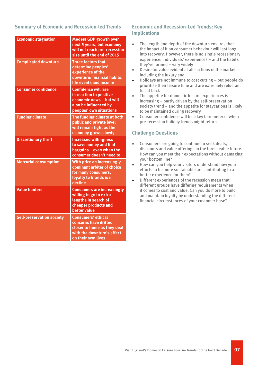#### **Summary of Economic and Recession-led Trends**

| <b>Economic stagnation</b>       | <b>Modest GDP growth over</b><br>next 5 years, but economy<br>will not reach pre-recession<br>size until the end of 2015               |
|----------------------------------|----------------------------------------------------------------------------------------------------------------------------------------|
| <b>Complicated downturn</b>      | <b>Three factors that</b><br>determine peoples'<br>experience of the<br>downturn: financial habits,<br>life events and income          |
| <b>Consumer confidence</b>       | <b>Confidence will rise</b><br>in reaction to positive<br>economic news - but will<br>also be influenced by<br>peoples' own situations |
| <b>Funding climate</b>           | The funding climate at both<br>public and private level<br>will remain tight as the<br>economy grows slowly                            |
| <b>Discretionary thrift</b>      | <b>Increased willingness</b><br>to save money and find<br>bargains - even when the<br>consumer doesn't need to                         |
| <b>Mercurial consumption</b>     | With price an increasingly<br>dominant arbiter of choice<br>for many consumers,<br>loyalty to brands is in<br>decline                  |
| <b>Value hunters</b>             | <b>Consumers are increasingly</b><br>willing to go to extra<br>lengths in search of<br>cheaper products and<br><b>better value</b>     |
| <b>Self-preservation society</b> | <b>Consumers' ethical</b><br>concerns have drifted<br>closer to home as they deal<br>with the downturn's effect<br>on their own lives  |

#### **Economic and Recession-Led Trends: Key Implications**

- The length and depth of the downturn ensures that the impact of it on consumer behaviour will last long into recovery. However, there is no single recessionary experience: individuals' experiences – and the habits they've formed – vary widely
- Desire for value evident at all sections of the market including the luxury end
- Holidays are not immune to cost cutting but people do prioritise their leisure time and are extremely reluctant to cut back
- The appetite for domestic leisure experiences is increasing – partly driven by the self-preservation society trend – and the appetite for staycations is likely to be maintained during recovery
- Consumer confidence will be a key barometer of when pre-recession holiday trends might return

- Consumers are going to continue to seek deals, discounts and value offerings in the foreseeable future. How can you meet their expectations without damaging your bottom line?
- How can you help your visitors understand how your efforts to be more sustainable are contributing to a better experience for them?
- Different experiences of the recession mean that different groups have differing requirements when it comes to cost and value. Can you do more to build and maintain loyalty by understanding the different financial circumstances of your customer base?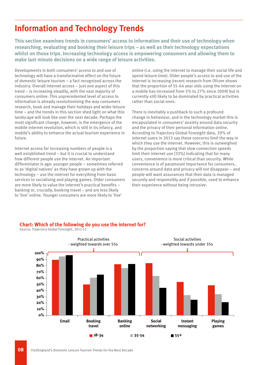### **Information and Technology Trends**

**This section examines trends in consumers' access to information and their use of technology when researching, evaluating and booking their leisure trips – as well as their technology expectations whilst on those trips. Increasing technology access is empowering consumers and allowing them to make last minute decisions on a wide range of leisure activities.**

Developments in both consumers' access to and use of technology will have a transformative effect on the future of domestic leisure tourism – a fact recognised across the industry. Overall internet access – just one aspect of this trend – is increasing steadily, with the vast majority of consumers online. This unprecedented level of access to information is already revolutionising the way consumers research, book and manage their holidays and wider leisure time – and the trends in this section shed light on what this landscape will look like over the next decade. Perhaps the most significant change, however, is the emergence of the mobile internet revolution, which is still in its infancy, and mobile's ability to enhance the actual tourism experience in future.

Internet access for increasing numbers of people is a well established trend – but it is crucial to understand how different people use the internet. An important differentiator is age: younger people – sometimes referred to as 'digital natives' as they have grown up with the technology – use the internet for everything from basic services to socialising and playing games. Older consumers are more likely to value the internet's practical benefits – banking or, crucially, booking travel – and are less likely to 'live' online. Younger consumers are more likely to 'live'

online (i.e. using the internet to manage their social life and spend leisure time). Older people's access to and use of the internet is increasing (recent research from Ofcom shows that the proportion of 55-64 year olds using the internet on a mobile has increased from 5% to 27% since 2009) but is currently still likely to be dominated by practical activities rather than social ones.

There is inevitably a pushback to such a profound change in behaviour, and in the technology market this is encapsulated in consumers' anxiety around data security and the privacy of their personal information online. According to Trajectory Global Foresight data, 29% of internet users in 2013 say these concerns limit the way in which they use the internet. However, this is outweighed by the proportion saying that slow connection speeds limit their internet use (33%) indicating that for many users, convenience is more critical than security. While convenience is of paramount importance for consumers, concerns around data and privacy will not disappear – and people will want assurances that their data is managed securely and responsibly and if possible, used to enhance their experience without being intrusive.



#### **Chart: Which of the following do you use the internet for?**

Source: Trajectory Global Foresight, 2011-12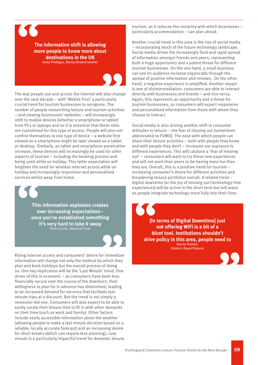

**The information shift is allowing more people to know more about destinations in the UK** Andy Phillipps, Revoo/Greentraveller

The way people use and access the internet will also change over the next decade – with 'Mobile First' a particularly crucial trend for tourism businesses to recognise. The number of people researching leisure and tourism activities – and viewing businesses' websites – will increasingly shift to mobile devices (whether a smartphone or tablet) from PCs or laptops and so it is essential that these sites are customised for this type of access. People will also not confine themselves to one type of device – a website first viewed on a smartphone might be later viewed on a tablet or desktop. Similarly, as tablet and smartphone penetration increase, these devices will increasingly be used for other aspects of tourism – including the booking process and being used while on holiday. This latter expectation will heighten the need for wireless internet access while on holiday and increasingly responsive and personalised services whilst away from home.

**This information explosion creates ever increasing expectations once you've established something it's very hard to take it away** Peter Curtis, National Trust

Rising internet access and consumers' desire for immediate information will change not only the method by which they plan and book holidays but the overall process of doing so. One key implication will be the 'Last Minute' trend. One driver of this is economic – as consumers have been less financially secure over the course of the downturn, their willingness to plan far in advance has diminished, leading to an increased demand for services that facilitate last minute trips at a discount. But the trend is not simply a recession-led one. Consumers will also expect to be able to easily curate their leisure time to fit in with other demands on their time (such as work and family). Other factors include easily accessible information about the weather (allowing people to make a last minute decision based on a reliable, locally accurate forecast) and an increasing desire for short breaks (which can require less planning). Last minute is a particularly impactful trend for domestic leisure

tourism, as it reduces the certainty with which businesses – particularly accommodation – can plan ahead.

Another crucial trend in this area is the rise of social media – incorporating much of the future technology landscape. Social media drives the increasingly fluid and rapid spread of information amongst friends and peers, representing both a huge opportunity and a potent threat for different tourism businesses. On the one hand, a small business can see its audience increase organically through the spread of positive information and reviews. On the other hand, a negative experience is amplified. Another impact is one of disintermediation: consumers are able to interact directly with businesses and brands – and vice versa. Again, this represents an opportunity and a threat for tourism businesses, as consumers will expect responsive and personalised information from those with whom they choose to interact.

Social media is also driving another shift in consumer attitudes to leisure – the fear of missing out (sometimes abbreviated to FOMO). The ease with which people can share their leisure activities – both with people they know and with people they don't – increases our exposure to different experiences. This will catalyse a 'fear of missing out' – consumers will want to try these new experiences and will not want their peers to be having more fun than they are. Overall, this is a positive trend for tourism – increasing consumer's desire for different activities and broadening leisure portfolios overall. A related trend – digital downtime (or the joy of missing out/technology-free experiences) will be active in the short term but will wane as people integrate technology more fully into their lives.

**[In terms of Digital Downtime] just not offering WiFi is a bit of a blunt tool. Institutions shouldn't drive policy in this area, people need to** Danny Homan, Historic Royal Palaces

VisitEngland's Domestic Leisure Tourism Trends for the Next Decade **09**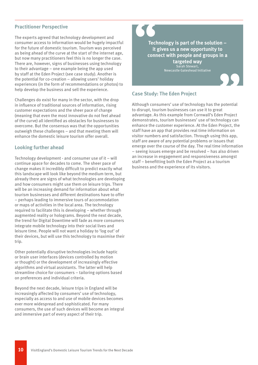#### **Practitioner Perspective**

The experts agreed that technology development and consumer access to information would be hugely impactful for the future of domestic tourism. Tourism was perceived as being ahead of the curve at the start of the internet age, but now many practitioners feel this is no longer the case. There are, however, signs of businesses using technology to their advantage – one example being the app used by staff at the Eden Project (see case study). Another is the potential for co-creation – allowing users' holiday experiences (in the form of recommendations or photos) to help develop the business and sell the experience.

Challenges do exist for many in the sector, with the drop in influence of traditional sources of information, rising customer expectations and the sheer pace of change (meaning that even the most innovative do not feel ahead of the curve) all identified as obstacles for businesses to overcome. But the consensus was that the opportunities outweigh these challenges – and that meeting them will enhance the domestic leisure tourism offer overall.

#### **Looking further ahead**

Technology development - and consumer use of it – will continue apace for decades to come. The sheer pace of change makes it incredibly difficult to predict exactly what this landscape will look like beyond the medium term, but already there are signs of what technologies are developing and how consumers might use them on leisure trips. There will be an increasing demand for information about what tourism businesses and different destinations have to offer – perhaps leading to immersive tours of accommodation or maps of activities in the local area. The technology required to facilitate this is developing – whether through augmented reality or holograms. Beyond the next decade, the trend for Digital Downtime will fade as more consumers integrate mobile technology into their social lives and leisure time. People will not want a holiday to 'log out' of their devices, but will use this technology to maximise their trip.

Other potentially disruptive technologies include haptic or brain user interfaces (devices controlled by motion or thought) or the development of increasingly effective algorithms and virtual assistants. The latter will help streamline choice for consumers – tailoring options based on preferences and individual criteria.

Beyond the next decade, leisure trips in England will be increasingly affected by consumers' use of technology, especially as access to and use of mobile devices becomes ever more widespread and sophisticated. For many consumers, the use of such devices will become an integral and immersive part of every aspect of their trip.

**Technology is part of the solution – it gives us a new opportunity to connect with people and groups in a targeted way**

Sarah Stewart, Newcastle Gateshead Initiative

#### **Case Study: The Eden Project**

Although consumers' use of technology has the potential to disrupt, tourism businesses can use it to great advantage. As this example from Cornwall's Eden Project demonstrates, tourism businesses' use of technology can enhance the customer experience. At the Eden Project, the staff have an app that provides real time information on visitor numbers and satisfaction. Through using this app, staff are aware of any potential problems or issues that emerge over the course of the day. The real time information – seeing issues emerge and be resolved – has also driven an increase in engagement and responsiveness amongst staff – benefitting both the Eden Project as a tourism business and the experience of its visitors.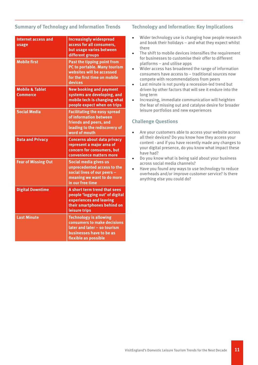#### **Summary of Technology and Information Trends**

| <b>Internet access and</b><br>usage           | <b>Increasingly widespread</b><br>access for all consumers,<br>but usage varies between<br>different groups                                      |
|-----------------------------------------------|--------------------------------------------------------------------------------------------------------------------------------------------------|
| <b>Mobile first</b>                           | <b>Past the tipping point from</b><br>PC to portable. Many tourism<br>websites will be accessed<br>for the first time on mobile<br>devices       |
| <b>Mobile &amp; Tablet</b><br><b>Commerce</b> | <b>New booking and payment</b><br>systems are developing, and<br>mobile tech is changing what<br>people expect when on trips                     |
| <b>Social Media</b>                           | <b>Facilitating the easy spread</b><br>of information between<br>friends and peers, and<br>leading to the rediscovery of<br>word of mouth        |
| <b>Data and Privacy</b>                       | <b>Concerns about data privacy</b><br>represent a major area of<br>concern for consumers, but<br>convenience matters more                        |
| <b>Fear of Missing Out</b>                    | Social media gives us<br>unprecedented access to the<br>social lives of our peers -<br>meaning we want to do more<br>in our free time            |
| <b>Digital Downtime</b>                       | A short term trend that sees<br>people 'logging out' of digital<br>experiences and leaving<br>their smartphones behind on<br>leisure trips       |
| <b>Last Minute</b>                            | <b>Technology is allowing</b><br>consumers to make decisions<br>later and later - so tourism<br>businesses have to be as<br>flexible as possible |

#### **Technology and Information: Key Implications**

- Wider technology use is changing how people research and book their holidays – and what they expect whilst there
- The shift to mobile devices intensifies the requirement for businesses to customise their offer to different platforms – and utilise apps
- Wider access has broadened the range of information consumers have access to – traditional sources now compete with recommendations from peers
- Last minute is not purely a recession-led trend but driven by other factors that will see it endure into the long term
- Increasing, immediate communication will heighten the fear of missing out and catalyse desire for broader leisure portfolios and new experiences

- Are your customers able to access your website across all their devices? Do you know how they access your content - and if you have recently made any changes to your digital presence, do you know what impact these have had?
- Do you know what is being said about your business across social media channels?
- Have you found any ways to use technology to reduce overheads and/or improve customer service? Is there anything else you could do?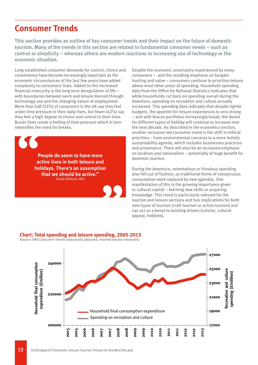### **Consumer Trends**

**This section provides an outline of key consumer trends and their impact on the future of domestic tourism. Many of the trends in this section are related to fundamental consumer needs – such as control or simplicity – whereas others are modern reactions to increasing use of technology or the economic situation.**

Long established consumer demands for control, choice and convenience have become increasingly important as the economic circumstances of the last few years have added complexity to consumers' lives. Added to this increased financial insecurity is the long term deregulation of life – with boundaries between work and leisure blurred through technology use and the changing nature of employment. More than half (53%) of consumers in the UK say they feel under time pressure in their daily lives, but fewer (42%) say they feel a high degree of choice and control in their lives. Busier lives create a feeling of time pressure which in turn intensifies the need for breaks.

**People do seem to have more active lives in both leisure and holidays. There's an assumption that we should be active."** Sarah Stewart, NGI

Despite the economic uncertainty experienced by many consumers – and the resulting emphasis on bargain hunting and value – consumers continue to prioritise leisure above most other areas of spending. Household spending data from the Office for National Statistics indicates that while households cut back on spending overall during the downturn, spending on recreation and culture actually increased. This spending data indicates that despite tighter budgets, the appetite for leisure experiences is very strong – and with leisure portfolios increasingly broad, the desire for different types of holiday will continue to increase over the next decade. As described in the economics section, another recession led consumer trend is the shift in ethical priorities – from environmental concerns to a more holistic sustainability agenda, which includes businesses practices and provenance. There will also be an increased emphasis on localism and nationalism – potentially of huge benefit for domestic tourism.

During the downturn, ostentatious or frivolous spending also fell out of fashion, as traditional forms of conspicuous consumption were replaced by new agendas. One manifestation of this is the growing importance given to cultural capital – learning new skills or acquiring knowledge. This trend is particularly relevant for the tourism and leisure sections and has implications for both new types of tourism (craft tourism or active tourism) and can act as a boost to existing drivers (cuisine, cultural appeal, hobbies).

#### **Chart: Total spending and leisure spending, 2005-2013**

Source: ONS Consumer Trends (seasonally adjusted, chained volume measures)

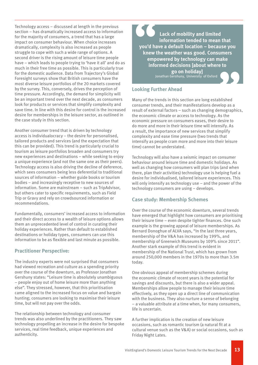Technology access – discussed at length in the previous section – has dramatically increased access to information for the majority of consumers, a trend that has a large impact on consumer behaviour. When choice increases dramatically, complexity is also increased as people struggle to cope with such a wide range of options. A second driver is the rising amount of leisure time people have – which leads to people trying to 'have it all' and do as much in their free time as possible. This is particularly true for the domestic audience. Data from Trajectory's Global Foresight surveys show that British consumers have the most diverse leisure portfolios of the 20 markets covered by the survey. This, conversely, drives the perception of time pressure. Accordingly, the demand for simplicity will be an important trend over the next decade, as consumers look for products or services that simplify complexity and save time. In line with this desire for control is the increased desire for memberships in the leisure sector, as outlined in the case study in this section.

Another consumer trend that is driven by technology access is individualocracy – the desire for personalised, tailored products and services (and the expectation that this can be provided). This trend is particularly crucial to tourism as leisure portfolios broaden and consumers try new experiences and destinations – while seeking to enjoy a unique experience (and not the same one as their peers). Technology access is also driving the decline of deference, which sees consumers being less deferential to traditional sources of information – whether guide books or tourism bodies – and increasingly receptive to new sources of information. Some are mainstream – such as TripAdvisor, but others cater to specific requirements, such as Field Trip or Gravy and rely on crowdsourced information or recommendations.

Fundamentally, consumers' increased access to information and their direct access to a wealth of leisure options allows them an unprecedented level of control in curating their holiday experiences. Rather than default to established destinations or holiday types, consumers can use this information to be as flexible and last minute as possible.

#### **Practitioner Perspective:**

The industry experts were not surprised that consumers had viewed recreation and culture as a spending priority over the course of the downturn, as Professor Jonathan Gershuny states: "Leisure time is absolutely unambiguous – people enjoy out of home leisure more than anything else". They stressed, however, that this prioritisation came aligned to the increased focus on value and bargain hunting; consumers are looking to maximise their leisure time, but will not pay over the odds.

The relationship between technology and consumer trends was also underlined by the practitioners. They saw technology propelling an increase in the desire for bespoke services, real time feedback, unique experiences and authenticity.

 **Lack of mobility and limited information tended to mean that you'd have a default location – because you knew the weather was good. Consumers empowered by technology can make informed decisions [about where to go on holiday]** Jonathan Gershuny, University of Oxford

#### **Looking Further Ahead**

Many of the trends in this section are long established consumer trends, and their manifestations develop as a result of external factors – such as changing demographics, the economic climate or access to technology. As the economic pressure on consumers eases, their desire to do more and more in their leisure time will intensify. As a result, the importance of new services that simplify complexity and ease time pressure (two trends that intensify as people cram more and more into their leisure time) cannot be understated.

Technology will also have a seismic impact on consumer behaviour around leisure time and domestic holidays. As well as changing how consumers will plan trips (and when there, plan their activities) technology use is helping fuel a desire for individualised, tailored leisure experiences. This will only intensify as technology use – and the power of the technology consumers are using – develops.

#### **Case study: Membership Schemes**

Over the course of the economic downturn, several trends have emerged that highlight how consumers are prioritising their leisure time – even despite tighter finances. One such example is the growing appeal of leisure memberships. As Bernard Donoghue of ALVA says, "In the last three years, membership of the V&A has increased by 199%, and membership of Greenwich Museums by 109% since 2011". Another stark example of this trend is evident in membership of the National Trust, which has grown from around 250,000 members in the 1970s to more than 3.5m today.

One obvious appeal of membership schemes during the economic climate of recent years is the potential for savings and discounts, but there is also a wider appeal. Memberships allow people to manage their leisure time effectively, as they open up a direct line of communication with the business. They also nurture a sense of belonging – a valuable attribute at a time when, for many consumers, life is uncertain.

A further implication is the creation of new leisure occasions, such as romantic tourism (a natural fit at a cultural venue such as the V&A) or social occasions, such as Friday Night Lates.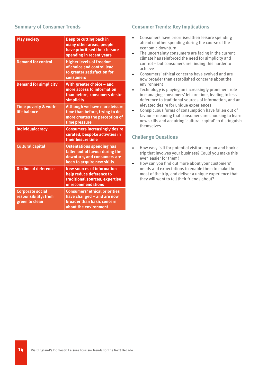#### **Summary of Consumer Trends**

| <b>Play society</b>                                               | <b>Despite cutting back in</b><br>many other areas, people<br>have prioritised their leisure<br>spending in recent years         |
|-------------------------------------------------------------------|----------------------------------------------------------------------------------------------------------------------------------|
| <b>Demand for control</b>                                         | <b>Higher levels of freedom</b><br>of choice and control lead<br>to greater satisfaction for<br>consumers                        |
| <b>Demand for simplicity</b>                                      | With greater choice - and<br>more access to information<br>than before, consumers desire<br>simplicity                           |
| Time poverty & work-<br>life balance                              | <b>Although we have more leisure</b><br>time than before, trying to do<br>more creates the perception of<br>time pressure        |
| <b>Individualocracy</b>                                           | <b>Consumers increasingly desire</b><br>curated, bespoke activities in<br>their leisure time                                     |
| <b>Cultural capital</b>                                           | <b>Ostentatious spending has</b><br>fallen out of favour during the<br>downturn, and consumers are<br>keen to acquire new skills |
| <b>Decline of deference</b>                                       | <b>New sources of information</b><br>help reduce deference to<br>traditional sources, expertise<br>or recommendations            |
| <b>Corporate social</b><br>responsibility: from<br>green to clean | <b>Consumers' ethical priorities</b><br>have changed - and are now<br><b>broader than basic concern</b><br>about the environment |

#### **Consumer Trends: Key Implications**

- Consumers have prioritised their leisure spending ahead of other spending during the course of the economic downturn
- The uncertainty consumers are facing in the current climate has reinforced the need for simplicity and control – but consumers are finding this harder to achieve
- Consumers' ethical concerns have evolved and are now broader than established concerns about the environment
- Technology is playing an increasingly prominent role in managing consumers' leisure time, leading to less deference to traditional sources of information, and an elevated desire for unique experiences
- Conspicuous forms of consumption have fallen out of favour – meaning that consumers are choosing to learn new skills and acquiring 'cultural capital' to distinguish themselves

- How easy is it for potential visitors to plan and book a trip that involves your business? Could you make this even easier for them?
- How can you find out more about your customers' needs and expectations to enable them to make the most of the trip, and deliver a unique experience that they will want to tell their friends about?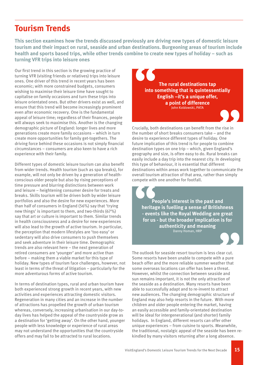### **Tourism Trends**

**This section examines how the trends discussed previously are driving new types of domestic leisure tourism and their impact on rural, seaside and urban destinations. Burgeoning areas of tourism include health and sports based trips, while other trends combine to create new types of holiday – such as turning VFR trips into leisure ones**

Our first trend in this section is the growing practice of turning VFR (visiting friends or relatives) trips into leisure ones. One driver of this trend in recent years has been economic; with more constrained budgets, consumers wishing to maximise their leisure time have sought to capitalise on family occasions and turn these trips into leisure orientated ones. But other drivers exist as well, and ensure that this trend will become increasingly prominent even after economic recovery. One is the fundamental appeal of leisure time; regardless of their finances, people will always seek to maximise this. Another is the changing demographic picture of England: longer lives and more generations create more family occasions – which in turn create more opportunities for family get-togethers. The driving force behind these occasions is not simply financial circumstances – consumers are also keen to have a rich experience with their family.

Different types of domestic leisure tourism can also benefit from wider trends. Health tourism (such as spa breaks), for example, will not only be driven by a generation of healthconscious older people but also by rising perceptions of time pressure and blurring distinctions between work and leisure – heightening consumer desire for treats and breaks. Skills tourism will be driven both by wider leisure portfolios and also the desire for new experiences. More than half of consumers in England (56%) say that 'trying new things' is important to them, and two-thirds (67%) say that art or culture is important to them. Similar trends in health consciousness and a desire for new experiences will also lead to the growth of active tourism. In particular, the perception that modern lifestyles are 'too easy' or sedentary will also drive consumers to push themselves and seek adventure in their leisure time. Demographic trends are also relevant here – the next generation of retired consumers are 'younger' and more active than before – making them a viable market for this type of holiday. New types of tourism face challenges, however, not least in terms of the threat of litigation – particularly for the more adventurous forms of active tourism.

In terms of destination types, rural and urban tourism have both experienced strong growth in recent years, with new activities and experiences attracting domestic visitors. Regeneration in many cities and an increase in the number of attractions has propelled the growth of urban tourism whereas, conversely, increasing urbanisation in our day-today lives has helped the appeal of the countryside grow as a destination for 'getting away'. On the other hand, younger people with less knowledge or experience of rural areas may not understand the opportunities that the countryside offers and may fail to be attracted to rural locations.

**The rural destinations tap into something that is quintessentially English –it's a unique offer, a point of difference** John Koldowski, PATA

Crucially, both destinations can benefit from the rise in the number of short breaks consumers take – and the desire to experience different types of holiday. One future implication of this trend is for people to combine destination types on one trip – which, given England's geography and size, is often easy to do. Rural breaks can easily include a day trip into the nearest city. In developing this type of behaviour, it is essential that different destinations within areas work together to communicate the overall tourism attraction of that area, rather than simply compete with one another for footfall.

**People's interest in the past and heritage is fuelling a sense of Britishness - events like the Royal Wedding are great for us - but the broader implication is for authenticity and meaning** Danny Homan, HRP

The outlook for seaside resort tourism is less clear cut. Some resorts have been unable to compete with a pure beach offer and the more reliable summer weather that some overseas locations can offer has been a threat. However, whilst the connection between seaside and sun remains important, it is not the only attraction of the seaside as a destination. Many resorts have been able to successfully adapt and to re-invent to attract new audiences. The changing demographic structure of England may also help resorts in the future. With more children and older people entering the market, having an easily accessible and family-orientated destination will be ideal for intergenerational (and shorter) family holidays. In England, different resorts can offer other unique experiences – from cuisine to sports. Meanwhile, the traditional, nostalgic appeal of the seaside has been rekindled by many visitors returning after a long absence.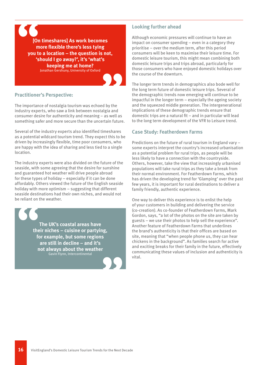

#### **Practitioner's Perspective:**

The importance of nostalgia tourism was echoed by the industry experts, who saw a link between nostalgia and consumer desire for authenticity and meaning – as well as something safer and more secure than the uncertain future.

Several of the industry experts also identified timeshares as a potential wildcard tourism trend. They expect this to be driven by increasingly flexible, time poor consumers, who are happy with the idea of sharing and less tied to a single location.

The industry experts were also divided on the future of the seaside, with some agreeing that the desire for sunshine and guaranteed hot weather will drive people abroad for these types of holiday – especially if it can be done affordably. Others viewed the future of the English seaside holiday with more optimism – suggesting that different seaside destinations had their own niches, and would not be reliant on the weather.

**The UK's coastal areas have their niches – cuisine or partying, for example, but some regions are still in decline – and it's not always about the weather** Gavin Flynn, Intercontinental

#### **Looking further ahead**

Although economic pressures will continue to have an impact on consumer spending – even in a category they prioritise – over the medium term, after this period consumers will be keen to maximise their leisure time. For domestic leisure tourism, this might mean combining both domestic leisure trips and trips abroad, particularly for those consumers who have enjoyed domestic holidays over the course of the downturn.

The longer term trends in demographics also bode well for the long term future of domestic leisure trips. Several of the demographic trends now emerging will continue to be impactful in the longer term – especially the ageing society and the squeezed middle generation. The intergenerational implications of these demographic trends ensure that domestic trips are a natural fit – and in particular will lead to the long term development of the VFR to Leisure trend.

#### **Case Study: Featherdown Farms**

Predictions on the future of rural tourism in England vary – some experts interpret the country's increased urbanisation as a potential problem for rural trips, as people will be less likely to have a connection with the countryside. Others, however, take the view that increasingly urbanised populations will take rural trips as they take a break from their normal environment. For Featherdown Farms, which has driven the developing trend for 'Glamping' over the past few years, it is important for rural destinations to deliver a family friendly, authentic experience.

One way to deliver this experience is to enlist the help of your customers in building and delivering the service (co-creation). As co-founder of Featherdown Farms, Mark Gordon, says, "a lot of the photos on the site are taken by guests – we use their photos to help sell the experience". Another feature of Featherdown Farms that underlines the brand's authenticity is that their offices are based on site, meaning that "when people phone us, they can hear chickens in the background". As families search for active and exciting breaks for their family in the future, effectively communicating these values of inclusion and authenticity is vital.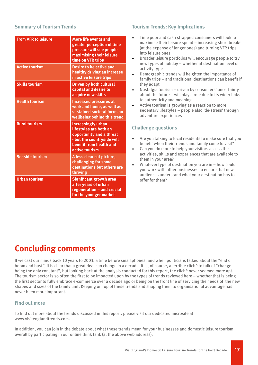#### **Summary of Tourism Trends**

| <b>From VFR to leisure</b> | <b>More life events and</b><br>greater perception of time<br>pressure will see people<br>maximising their leisure<br>time on VFR trips                     |
|----------------------------|------------------------------------------------------------------------------------------------------------------------------------------------------------|
| <b>Active tourism</b>      | <b>Desire to be active and</b><br>healthy driving an increase<br>in active leisure trips                                                                   |
| <b>Skills tourism</b>      | <b>Driven by both cultural</b><br>capital and desire to<br>acquire new skills                                                                              |
| <b>Health tourism</b>      | <b>Increased pressures at</b><br>work and home, as well as<br>sustained societal focus on<br>wellbeing behind this trend                                   |
| <b>Rural tourism</b>       | <b>Increasingly urban</b><br>lifestyles are both an<br>opportunity and a threat<br>- but the countryside will<br>benefit from health and<br>active tourism |
| <b>Seaside tourism</b>     | A less clear cut picture,<br>challenging for some<br>destinations but others are<br>thriving                                                               |
| <b>Urban tourism</b>       | <b>Significant growth area</b><br>after years of urban<br>regeneration - and crucial<br>for the younger market                                             |

#### **Tourism Trends: Key Implications**

- Time poor and cash strapped consumers will look to maximise their leisure spend – increasing short breaks (at the expense of longer ones) and turning VFR trips into leisure ones
- Broader leisure portfolios will encourage people to try new types of holiday – whether at destination level or activity type
- Demographic trends will heighten the importance of family trips – and traditional destinations can benefit if they adapt
- Nostalgia tourism driven by consumers' uncertainty about the future – will play a role due to its wider links to authenticity and meaning
- Active tourism is growing as a reaction to more sedentary lifestyles – people also 'de-stress' through adventure experiences

### **Challenge questions**

- Are you talking to local residents to make sure that you benefit when their friends and family come to visit?
- Can you do more to help your visitors access the activities, skills and experiences that are available to them in your area?
- Whatever type of destination you are in  $-$  how could you work with other businesses to ensure that new audiences understand what your destination has to offer for them?

## **Concluding comments**

If we cast our minds back 10 years to 2003, a time before smartphones, and when politicians talked about the "end of boom and bust", it is clear that a great deal can change in a decade. It is, of course, a terrible cliché to talk of "change being the only constant", but looking back at the analysis conducted for this report, the cliché never seemed more apt. The tourism sector is so often the first to be impacted upon by the types of trends reviewed here – whether that is being the first sector to fully embrace e-commerce over a decade ago or being on the front line of servicing the needs of the new shapes and sizes of the family unit. Keeping on top of these trends and shaping them to organisational advantage has never been more important.

#### **Find out more**

To find out more about the trends discussed in this report, please visit our dedicated microsite at www.visitenglandtrends.com.

In addition, you can join in the debate about what these trends mean for your businesses and domestic leisure tourism overall by participating in our online think tank (at the above web address).